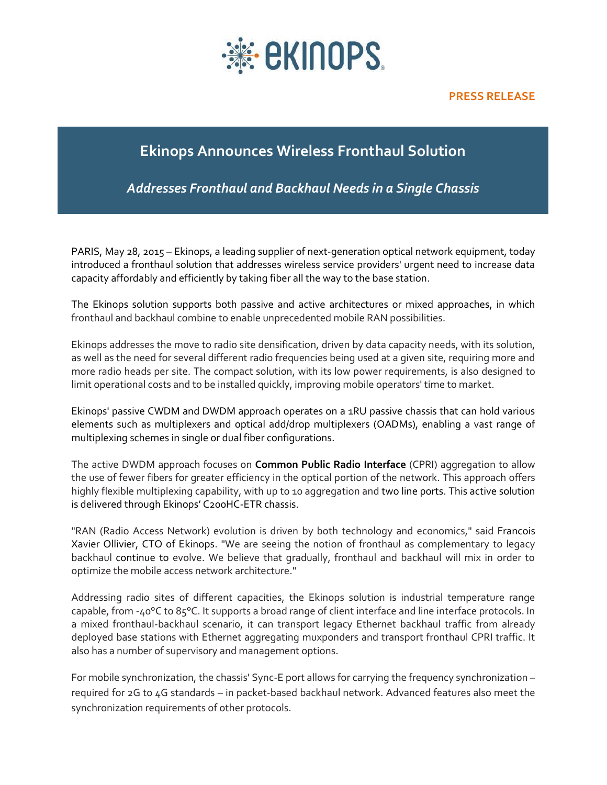

## **Ekinops Announces Wireless Fronthaul Solution**

*Addresses Fronthaul and Backhaul Needs in a Single Chassis*

PARIS, May 28, 2015 – Ekinops, a leading supplier of next-generation optical network equipment, today introduced a fronthaul solution that addresses wireless service providers' urgent need to increase data capacity affordably and efficiently by taking fiber all the way to the base station.

The Ekinops solution supports both passive and active architectures or mixed approaches, in which fronthaul and backhaul combine to enable unprecedented mobile RAN possibilities.

Ekinops addresses the move to radio site densification, driven by data capacity needs, with its solution, as well as the need for several different radio frequencies being used at a given site, requiring more and more radio heads per site. The compact solution, with its low power requirements, is also designed to limit operational costs and to be installed quickly, improving mobile operators' time to market.

Ekinops' passive CWDM and DWDM approach operates on a 1RU passive chassis that can hold various elements such as multiplexers and optical add/drop multiplexers (OADMs), enabling a vast range of multiplexing schemes in single or dual fiber configurations.

The active DWDM approach focuses on **Common Public Radio Interface** (CPRI) aggregation to allow the use of fewer fibers for greater efficiency in the optical portion of the network. This approach offers highly flexible multiplexing capability, with up to 10 aggregation and two line ports. This active solution is delivered through Ekinops' C200HC-ETR chassis.

"RAN (Radio Access Network) evolution is driven by both technology and economics," said Francois Xavier Ollivier, CTO of Ekinops. "We are seeing the notion of fronthaul as complementary to legacy backhaul continue to evolve. We believe that gradually, fronthaul and backhaul will mix in order to optimize the mobile access network architecture."

Addressing radio sites of different capacities, the Ekinops solution is industrial temperature range capable, from -40°C to 85°C. It supports a broad range of client interface and line interface protocols. In a mixed fronthaul-backhaul scenario, it can transport legacy Ethernet backhaul traffic from already deployed base stations with Ethernet aggregating muxponders and transport fronthaul CPRI traffic. It also has a number of supervisory and management options.

For mobile synchronization, the chassis' Sync-E port allows for carrying the frequency synchronization – required for 2G to 4G standards – in packet-based backhaul network. Advanced features also meet the synchronization requirements of other protocols.